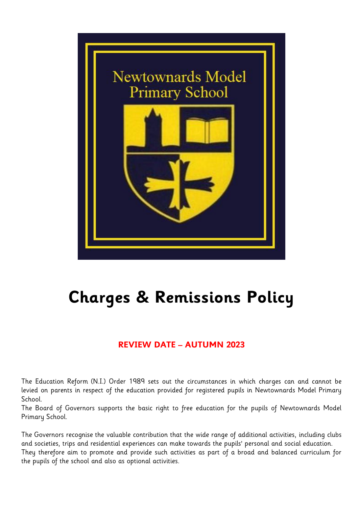

# **Charges & Remissions Policy**

## **REVIEW DATE – AUTUMN 2023**

The Education Reform (N.I.) Order 1989 sets out the circumstances in which charges can and cannot be levied on parents in respect of the education provided for registered pupils in Newtownards Model Primary School.

The Board of Governors supports the basic right to free education for the pupils of Newtownards Model Primary School.

The Governors recognise the valuable contribution that the wide range of additional activities, including clubs and societies, trips and residential experiences can make towards the pupils' personal and social education. They therefore aim to promote and provide such activities as part of a broad and balanced curriculum for the pupils of the school and also as optional activities.